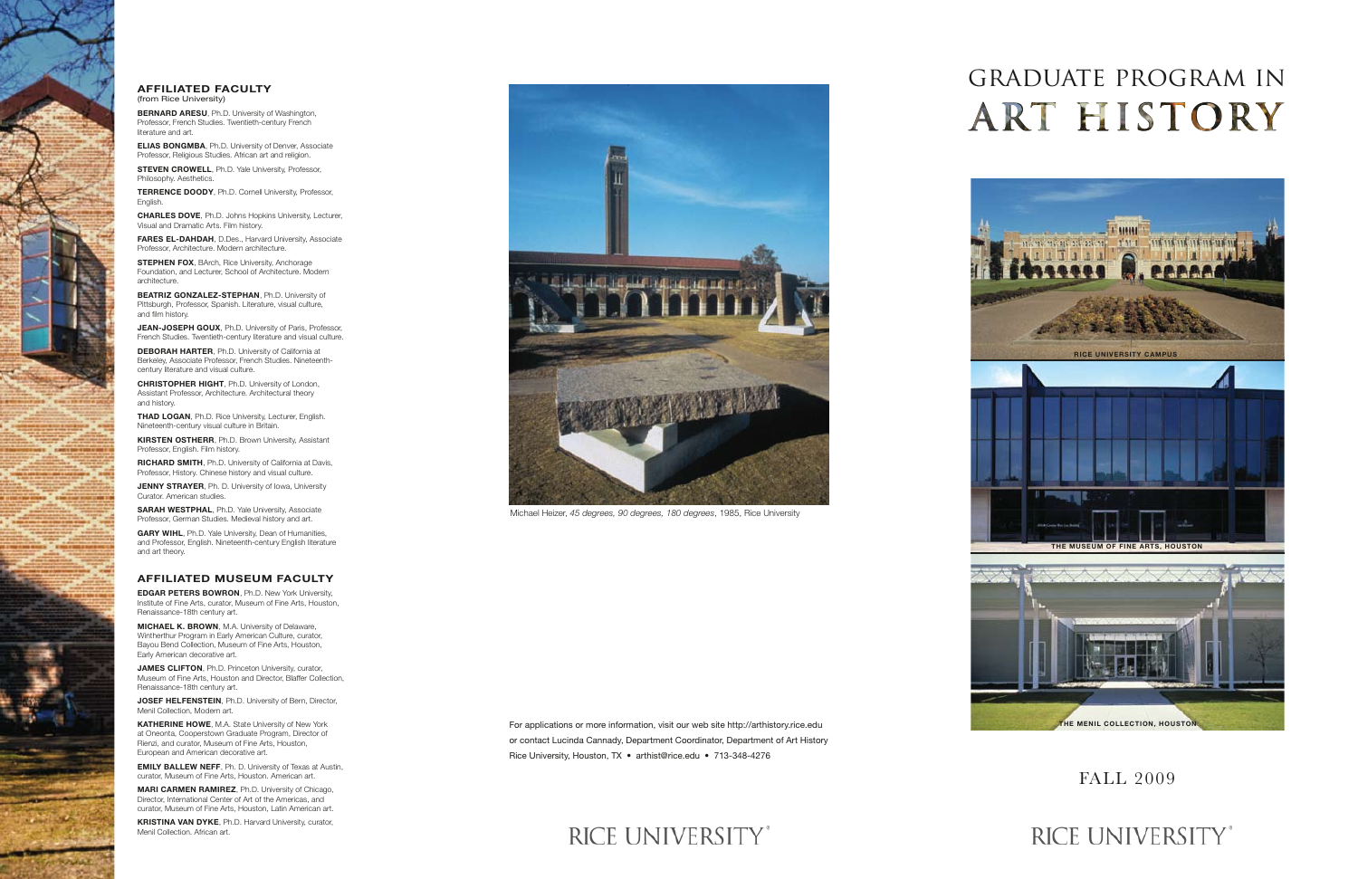# graduate program in **ART HISTORY**



## RICE UNIVERSITY®

### FALL 2009

For applications or more information, visit our web site http://arthistory.rice.edu or contact Lucinda Cannady, Department Coordinator, Department of Art History Rice University, Houston, TX • arthist@rice.edu • 713-348-4276

## RICE UNIVERSITY®





**STEVEN CROWELL**, Ph.D. Yale University, Professor, Philosophy. Aesthetics.

**TERRENCE DOODY**, Ph.D. Cornell University, Professor, **English** 

Michael Heizer, *45 degrees, 90 degrees, 180 degrees*, 1985, Rice University

#### **AFFILIATED FACULTY**  (from Rice University)

**BERNARD ARESU**, Ph.D. University of Washington, Professor, French Studies. Twentieth-century French literature and art.

**STEPHEN FOX, BArch, Rice University, Anchorage** Foundation, and Lecturer, School of Architecture. Modern architecture.

**ELIAS BONGMBA**, Ph.D. University of Denver, Associate Professor, Religious Studies. African art and religion.

**CHARLES DOVE**, Ph.D. Johns Hopkins University, Lecturer, Visual and Dramatic Arts. Film history.

**FARES EL-DAHDAH**, D.Des., Harvard University, Associate Professor, Architecture. Modern architecture.

**JENNY STRAYER**, Ph. D. University of Iowa, University Curator. American studies.

**BEATRIZ GONZALEZ-STEPHAN**, Ph.D. University of Pittsburgh, Professor, Spanish. Literature, visual culture, and film history.

**JEAN-JOSEPH GOUX**, Ph.D. University of Paris, Professor, French Studies. Twentieth-century literature and visual culture.

**JAMES CLIFTON**, Ph.D. Princeton University, curator, Museum of Fine Arts, Houston and Director, Blaffer Collection, Renaissance-18th century art.

**JOSEF HELFENSTEIN**, Ph.D. University of Bern, Director, Menil Collection, Modern art.

**DEBORAH HARTER**, Ph.D. University of California at Berkeley, Associate Professor, French Studies. Nineteenthcentury literature and visual culture.

**CHRISTOPHER HIGHT**, Ph.D. University of London, Assistant Professor, Architecture. Architectural theory and history.

**THAD LOGAN**, Ph.D. Rice University, Lecturer, English. Nineteenth-century visual culture in Britain.

**KIRSTEN OSTHERR**, Ph.D. Brown University, Assistant Professor, English. Film history.

**RICHARD SMITH**, Ph.D. University of California at Davis, Professor, History. Chinese history and visual culture.

**SARAH WESTPHAL**, Ph.D. Yale University, Associate Professor, German Studies. Medieval history and art.

**GARY WIHL**, Ph.D. Yale University, Dean of Humanities, and Professor, English. Nineteenth-century English literature and art theory.

### **AFFILIATED MUSEUM FACULTY**

**EDGAR PETERS BOWRON**, Ph.D. New York University, Institute of Fine Arts, curator, Museum of Fine Arts, Houston, Renaissance-18th century art.

**MICHAEL K. BROWN**, M.A. University of Delaware, Wintherthur Program in Early American Culture, curator, Bayou Bend Collection, Museum of Fine Arts, Houston, Early American decorative art.

**KATHERINE HOWE**, M.A. State University of New York at Oneonta, Cooperstown Graduate Program, Director of Rienzi, and curator, Museum of Fine Arts, Houston, European and American decorative art.

**EMILY BALLEW NEFF**, Ph. D. University of Texas at Austin, curator, Museum of Fine Arts, Houston. American art.

**MARI CARMEN RAMIREZ**, Ph.D. University of Chicago, Director, International Center of Art of the Americas, and curator, Museum of Fine Arts, Houston, Latin American art.

**KRISTINA VAN DYKE**, Ph.D. Harvard University, curator, Menil Collection. African art.